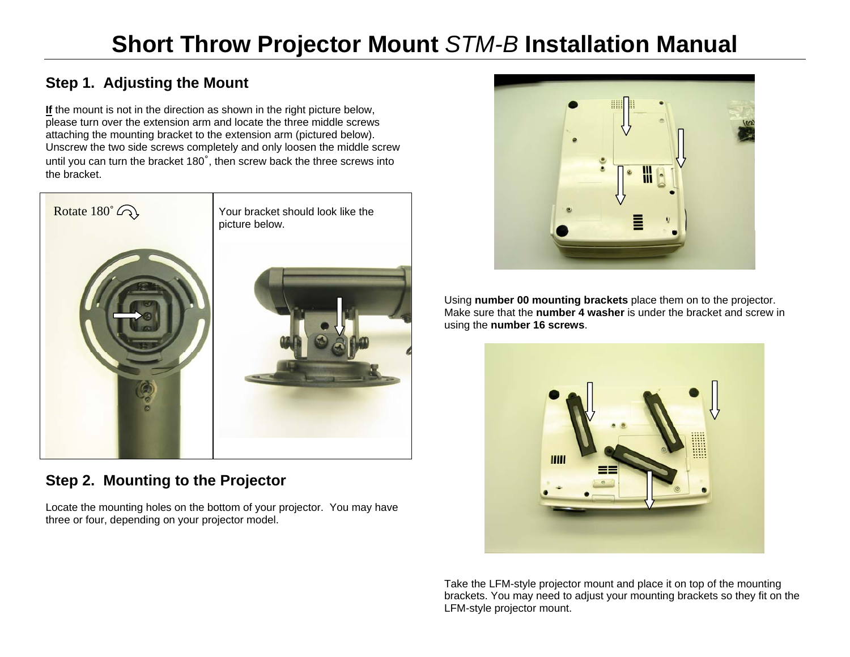# **Step 1. Adjusting the Mount**

**If** the mount is not in the direction as shown in the right picture below, please turn over the extension arm and locate the three middle screws attaching the mounting bracket to the extension arm (pictured below). Unscrew the two side screws completely and only loosen the middle screw until you can turn the bracket 180˚, then screw back the three screws into the bracket.



### **Step 2. Mounting to the Projector**

Locate the mounting holes on the bottom of your projector. You may have three or four, depending on your projector model.



Using **number 00 mounting brackets** place them on to the projector. Make sure that the **number 4 washer** is under the bracket and screw in using the **number 16 screws**.



Take the LFM-style projector mount and place it on top of the mounting brackets. You may need to adjust your mounting brackets so they fit on the LFM-style projector mount.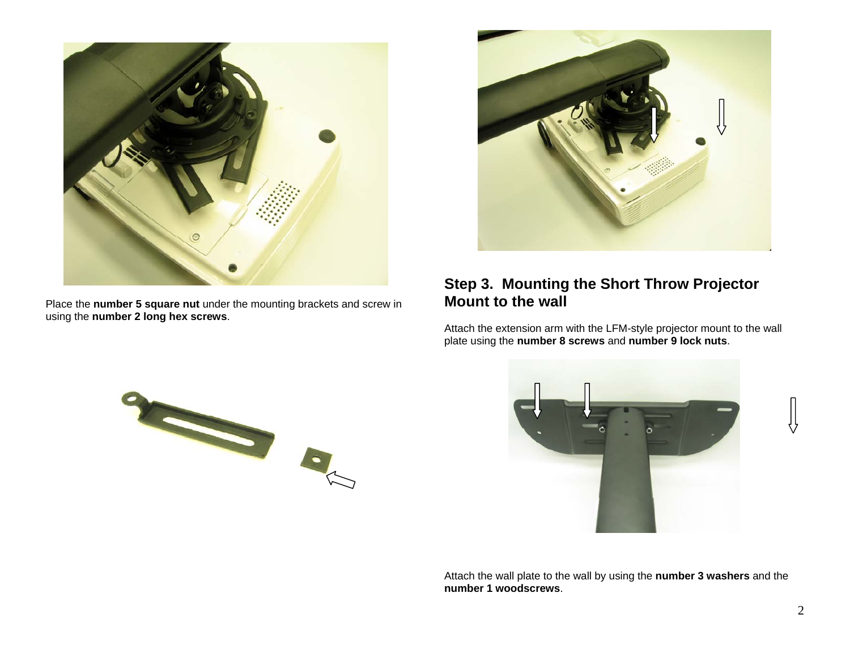

Place the **number 5 square nut** under the mounting brackets and screw in using the **number 2 long hex screws**.



#### **Step 3. Mounting the Short Throw Projector Mount to the wall**

Attach the extension arm with the LFM-style projector mount to the wall plate using the **number 8 screws** and **number 9 lock nuts**.





Attach the wall plate to the wall by using the **number 3 washers** and the **number 1 woodscrews**.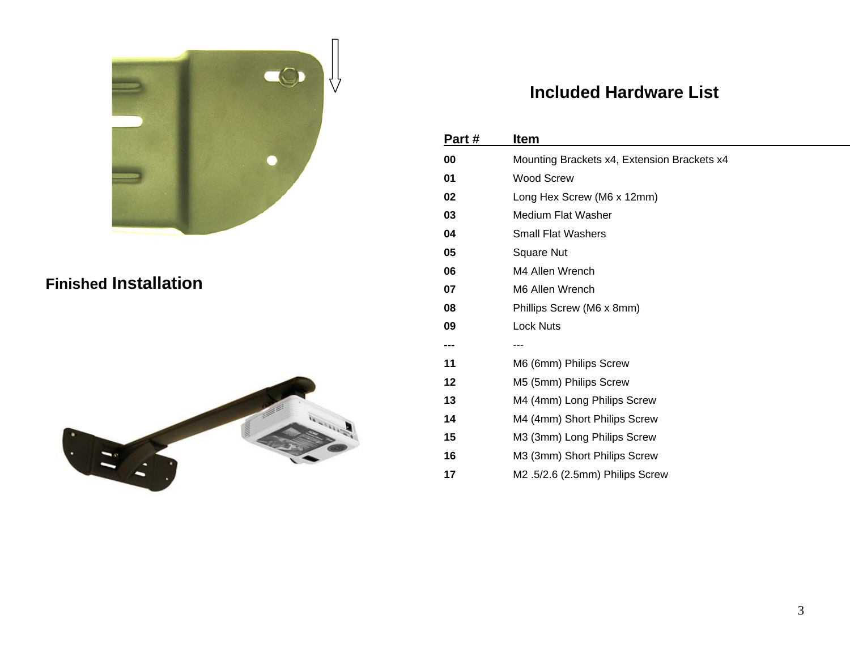

## **Finished Installation**



# **Included Hardware List**

| Part# | <b>Item</b>                                 |
|-------|---------------------------------------------|
| 00    | Mounting Brackets x4, Extension Brackets x4 |
| 01    | <b>Wood Screw</b>                           |
| 02    | Long Hex Screw (M6 x 12mm)                  |
| 03    | Medium Flat Washer                          |
| 04    | <b>Small Flat Washers</b>                   |
| 05    | <b>Square Nut</b>                           |
| 06    | M4 Allen Wrench                             |
| 07    | M6 Allen Wrench                             |
| 08    | Phillips Screw (M6 x 8mm)                   |
| 09    | <b>Lock Nuts</b>                            |
| ---   | ---                                         |
| 11    | M6 (6mm) Philips Screw                      |
| 12    | M5 (5mm) Philips Screw                      |
| 13    | M4 (4mm) Long Philips Screw                 |
| 14    | M4 (4mm) Short Philips Screw                |
| 15    | M3 (3mm) Long Philips Screw                 |
| 16    | M3 (3mm) Short Philips Screw                |
| 17    | M2.5/2.6 (2.5mm) Philips Screw              |